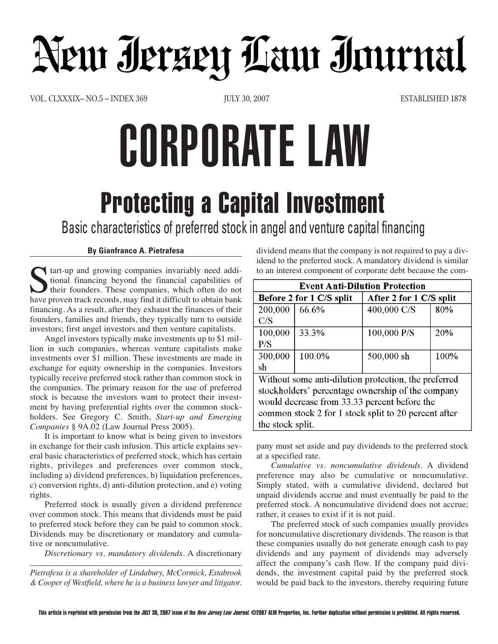## Neur Ierzen Law Immal

VOL. CLXXXIX– NO.5 – INDEX 369 JULY 30, 2007 ESTABLISHED 1878

## CORPORATE LAW

## **Protecting a Capital Investment**

Basic characteristics of preferred stock in angel and venture capital financing

## **By Gianfranco A. Pietrafesa**

I tart-up and growing companies invariably need additional financing beyond the financial capabilities of their founders. These companies, which often do not have proven track records, may find it difficult to obtain bank financing. As a result, after they exhaust the finances of their founders, families and friends, they typically turn to outside investors; first angel investors and then venture capitalists.

Angel investors typically make investments up to \$1 million in such companies, whereas venture capitalists make investments over \$1 million. These investments are made in exchange for equity ownership in the companies. Investors typically receive preferred stock rather than common stock in the companies. The primary reason for the use of preferred stock is because the investors want to protect their investment by having preferential rights over the common stockholders. See Gregory C. Smith, *Start-up and Emerging Companies* § 9A.02 (Law Journal Press 2005).

It is important to know what is being given to investors in exchange for their cash infusion. This article explains several basic characteristics of preferred stock, which has certain rights, privileges and preferences over common stock, including a) dividend preferences, b) liquidation preferences, c) conversion rights, d) anti-dilution protection, and e) voting rights.

Preferred stock is usually given a dividend preference over common stock. This means that dividends must be paid to preferred stock before they can be paid to common stock. Dividends may be discretionary or mandatory and cumulative or noncumulative.

*Discretionary vs. mandatory dividends*. A discretionary

*Pietrafesa is a shareholder of Lindabury, McCormick, Estabrook & Cooper of Westfield, where he is a business lawyer and litigator.* dividend means that the company is not required to pay a dividend to the preferred stock. A mandatory dividend is similar to an interest component of corporate debt because the com-

| <b>Event Anti-Dilution Protection</b>                |        |                         |      |  |  |
|------------------------------------------------------|--------|-------------------------|------|--|--|
| Before 2 for 1 C/S split                             |        | After 2 for 1 C/S split |      |  |  |
| 200,000                                              | 66.6%  | 400,000 C/S             | 80%  |  |  |
| C/S                                                  |        |                         |      |  |  |
| 100,000                                              | 33.3%  | 100,000 P/S             | 20%  |  |  |
| P/S                                                  |        |                         |      |  |  |
| 300,000                                              | 100.0% | 500,000 sh              | 100% |  |  |
| sh                                                   |        |                         |      |  |  |
| Without some anti-dilution protection, the preferred |        |                         |      |  |  |
| stockholders' percentage ownership of the company    |        |                         |      |  |  |
| would decrease from 33.33 percent before the         |        |                         |      |  |  |
| common stock 2 for 1 stock split to 20 percent after |        |                         |      |  |  |
| the stock split.                                     |        |                         |      |  |  |

pany must set aside and pay dividends to the preferred stock at a specified rate.

*Cumulative vs. noncumulative dividends.* A dividend preference may also be cumulative or noncumulative. Simply stated, with a cumulative dividend, declared but unpaid dividends accrue and must eventually be paid to the preferred stock. A noncumulative dividend does not accrue; rather, it ceases to exist if it is not paid.

The preferred stock of such companies usually provides for noncumulative discretionary dividends. The reason is that these companies usually do not generate enough cash to pay dividends and any payment of dividends may adversely affect the company's cash flow. If the company paid dividends, the investment capital paid by the preferred stock would be paid back to the investors, thereby requiring future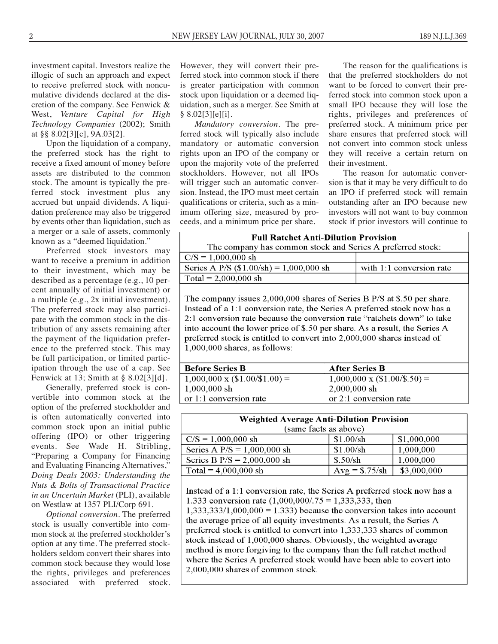investment capital. Investors realize the illogic of such an approach and expect to receive preferred stock with noncumulative dividends declared at the discretion of the company. See Fenwick & West, *Venture Capital for High Technology Companies* (2002); Smith at §§ 8.02[3][c], 9A.03[2].

Upon the liquidation of a company, the preferred stock has the right to receive a fixed amount of money before assets are distributed to the common stock. The amount is typically the preferred stock investment plus any accrued but unpaid dividends. A liquidation preference may also be triggered by events other than liquidation, such as a merger or a sale of assets, commonly known as a "deemed liquidation."

Preferred stock investors may want to receive a premium in addition to their investment, which may be described as a percentage (e.g., 10 percent annually of initial investment) or a multiple (e.g., 2x initial investment). The preferred stock may also participate with the common stock in the distribution of any assets remaining after the payment of the liquidation preference to the preferred stock. This may be full participation, or limited participation through the use of a cap. See Fenwick at 13; Smith at § 8.02[3][d].

Generally, preferred stock is convertible into common stock at the option of the preferred stockholder and is often automatically converted into common stock upon an initial public offering (IPO) or other triggering events. See Wade H. Stribling, "Preparing a Company for Financing and Evaluating Financing Alternatives," *Doing Deals 2003: Understanding the Nuts & Bolts of Transactional Practice in an Uncertain Market* (PLI), available on Westlaw at 1357 PLI/Corp 691.

*Optional conversion*. The preferred stock is usually convertible into common stock at the preferred stockholder's option at any time. The preferred stockholders seldom convert their shares into common stock because they would lose the rights, privileges and preferences associated with preferred stock. However, they will convert their preferred stock into common stock if there is greater participation with common stock upon liquidation or a deemed liquidation, such as a merger. See Smith at § 8.02[3][e][i].

*Mandatory conversion.* The preferred stock will typically also include mandatory or automatic conversion rights upon an IPO of the company or upon the majority vote of the preferred stockholders. However, not all IPOs will trigger such an automatic conversion. Instead, the IPO must meet certain qualifications or criteria, such as a minimum offering size, measured by proceeds, and a minimum price per share.

The reason for the qualifications is that the preferred stockholders do not want to be forced to convert their preferred stock into common stock upon a small IPO because they will lose the rights, privileges and preferences of preferred stock. A minimum price per share ensures that preferred stock will not convert into common stock unless they will receive a certain return on their investment.

The reason for automatic conversion is that it may be very difficult to do an IPO if preferred stock will remain outstanding after an IPO because new investors will not want to buy common stock if prior investors will continue to

| <b>Full Ratchet Anti-Dilution Provision</b>                |                          |  |  |  |
|------------------------------------------------------------|--------------------------|--|--|--|
| The company has common stock and Series A preferred stock: |                          |  |  |  |
| $C/S = 1,000,000 \text{ sh}$                               |                          |  |  |  |
| Series A P/S $(\$1.00/\text{sh}) = 1,000.000 \text{ sh}$   | with 1:1 conversion rate |  |  |  |
| Total = $2,000,000 \text{ sh}$                             |                          |  |  |  |

The company issues 2,000,000 shares of Series B P/S at \$.50 per share. Instead of a 1:1 conversion rate, the Series A preferred stock now has a 2:1 conversion rate because the conversion rate "ratchets down" to take into account the lower price of \$.50 per share. As a result, the Series A preferred stock is entitled to convert into 2,000,000 shares instead of  $1,000,000$  shares, as follows:

| <b>Before Series B</b>               | <b>After Series B</b>               |
|--------------------------------------|-------------------------------------|
| $1,000,000 \times (\$1.00/\$1.00) =$ | $1,000,000 \times (\$1.00/\$.50) =$ |
| $\pm 1,000,000~\mathrm{sh}$          | $2,000,000 \text{ sh}$              |
| or 1:1 conversion rate               | or $2:1$ conversion rate            |

| <b>Weighted Average Anti-Dilution Provision</b><br>(same facts as above) |                 |             |  |  |
|--------------------------------------------------------------------------|-----------------|-------------|--|--|
| $C/S = 1,000,000 \text{ sh}$                                             | \$1.00/sh       | \$1,000,000 |  |  |
| Series A $P/S = 1,000,000$ sh                                            | \$1.00/sh       | 1,000,000   |  |  |
| Series B $P/S = 2,000,000$ sh                                            | \$.50/sh        | 1,000,000   |  |  |
| Total = $4,000,000$ sh                                                   | $Avg = $.75/sh$ | \$3,000,000 |  |  |

Instead of a 1:1 conversion rate, the Series A preferred stock now has a 1.333 conversion rate  $(1,000,000/0.75 = 1,333,333)$ , then

 $1,333,333/1,000,000 = 1.333$  because the conversion takes into account the average price of all equity investments. As a result, the Series A preferred stock is entitled to convert into 1,333,333 shares of common stock instead of 1,000,000 shares. Obviously, the weighted average method is more forgiving to the company than the full ratchet method where the Series A preferred stock would have been able to covert into 2,000,000 shares of common stock.